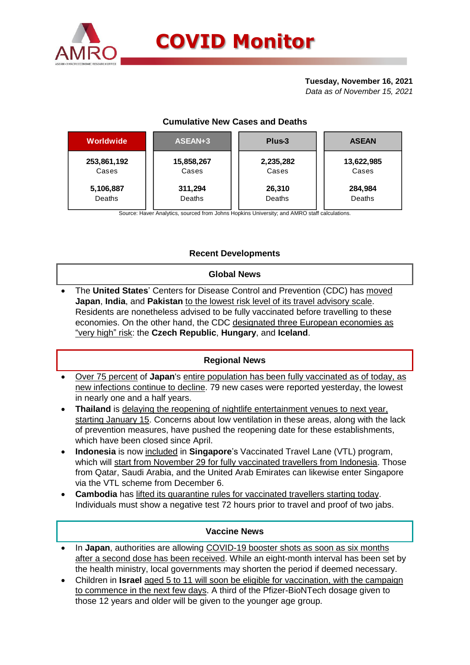

#### **Tuesday, November 16, 2021**

*Data as of November 15, 2021*

# **Cumulative New Cases and Deaths**

| <b>Worldwide</b> | ASEAN+3    | Plus-3    | <b>ASEAN</b> |  |  |
|------------------|------------|-----------|--------------|--|--|
| 253,861,192      | 15,858,267 | 2,235,282 | 13,622,985   |  |  |
| Cases            | Cases      | Cases     | Cases        |  |  |
| 5,106,887        | 311,294    | 26,310    | 284,984      |  |  |
| Deaths           | Deaths     | Deaths    | Deaths       |  |  |

Source: Haver Analytics, sourced from Johns Hopkins University; and AMRO staff calculations.

# **Recent Developments**

# **Global News**

 The **United States**' Centers for Disease Control and Prevention (CDC) has moved **Japan**, **India**, and **Pakistan** to the lowest risk level of its travel advisory scale. Residents are nonetheless advised to be fully vaccinated before travelling to these economies. On the other hand, the CDC designated three European economies as "very high" risk: the **Czech Republic**, **Hungary**, and **Iceland**.

## **Regional News**

- Over 75 percent of **Japan**'s entire population has been fully vaccinated as of today, as new infections continue to decline. 79 new cases were reported yesterday, the lowest in nearly one and a half years.
- **Thailand** is delaying the reopening of nightlife entertainment venues to next year, starting January 15. Concerns about low ventilation in these areas, along with the lack of prevention measures, have pushed the reopening date for these establishments, which have been closed since April.
- **Indonesia** is now included in **Singapore**'s Vaccinated Travel Lane (VTL) program, which will start from November 29 for fully vaccinated travellers from Indonesia. Those from Qatar, Saudi Arabia, and the United Arab Emirates can likewise enter Singapore via the VTL scheme from December 6.
- **Cambodia** has lifted its quarantine rules for vaccinated travellers starting today. Individuals must show a negative test 72 hours prior to travel and proof of two jabs.

## **Vaccine News**

- In **Japan**, authorities are allowing COVID-19 booster shots as soon as six months after a second dose has been received. While an eight-month interval has been set by the health ministry, local governments may shorten the period if deemed necessary.
- Children in **Israel** aged 5 to 11 will soon be eligible for vaccination, with the campaign to commence in the next few days. A third of the Pfizer-BioNTech dosage given to those 12 years and older will be given to the younger age group.